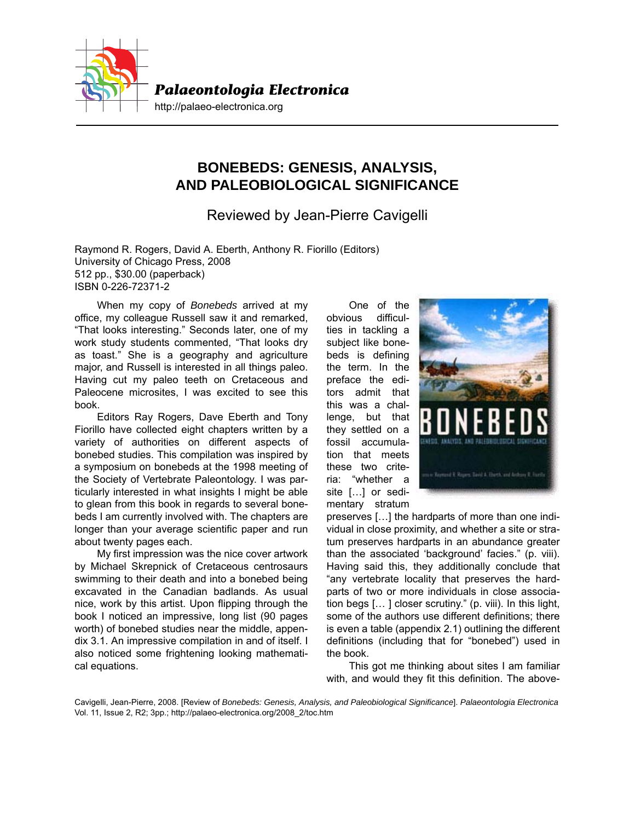

## **BONEBEDS: GENESIS, ANALYSIS, AND PALEOBIOLOGICAL SIGNIFICANCE**

Reviewed by Jean-Pierre Cavigelli

Raymond R. Rogers, David A. Eberth, Anthony R. Fiorillo (Editors) University of Chicago Press, 2008 512 pp., \$30.00 (paperback) ISBN 0-226-72371-2

When my copy of *Bonebeds* arrived at my office, my colleague Russell saw it and remarked, "That looks interesting." Seconds later, one of my work study students commented, "That looks dry as toast." She is a geography and agriculture major, and Russell is interested in all things paleo. Having cut my paleo teeth on Cretaceous and Paleocene microsites, I was excited to see this book.

Editors Ray Rogers, Dave Eberth and Tony Fiorillo have collected eight chapters written by a variety of authorities on different aspects of bonebed studies. This compilation was inspired by a symposium on bonebeds at the 1998 meeting of the Society of Vertebrate Paleontology. I was particularly interested in what insights I might be able to glean from this book in regards to several bonebeds I am currently involved with. The chapters are longer than your average scientific paper and run about twenty pages each.

My first impression was the nice cover artwork by Michael Skrepnick of Cretaceous centrosaurs swimming to their death and into a bonebed being excavated in the Canadian badlands. As usual nice, work by this artist. Upon flipping through the book I noticed an impressive, long list (90 pages worth) of bonebed studies near the middle, appendix 3.1. An impressive compilation in and of itself. I also noticed some frightening looking mathematical equations.

One of the obvious difficulties in tackling a subject like bonebeds is defining the term. In the preface the editors admit that this was a challenge, but that they settled on a fossil accumulation that meets these two criteria: "whether a site […] or sedimentary stratum



preserves […] the hardparts of more than one individual in close proximity, and whether a site or stratum preserves hardparts in an abundance greater than the associated 'background' facies." (p. viii). Having said this, they additionally conclude that "any vertebrate locality that preserves the hardparts of two or more individuals in close association begs [… ] closer scrutiny." (p. viii). In this light, some of the authors use different definitions; there is even a table (appendix 2.1) outlining the different definitions (including that for "bonebed") used in the book.

This got me thinking about sites I am familiar with, and would they fit this definition. The above-

Cavigelli, Jean-Pierre, 2008. [Review of *Bonebeds: Genesis, Analysis, and Paleobiological Significance*]. *Palaeontologia Electronica* Vol. 11, Issue 2, R2; 3pp.; http://palaeo-electronica.org/2008\_2/toc.htm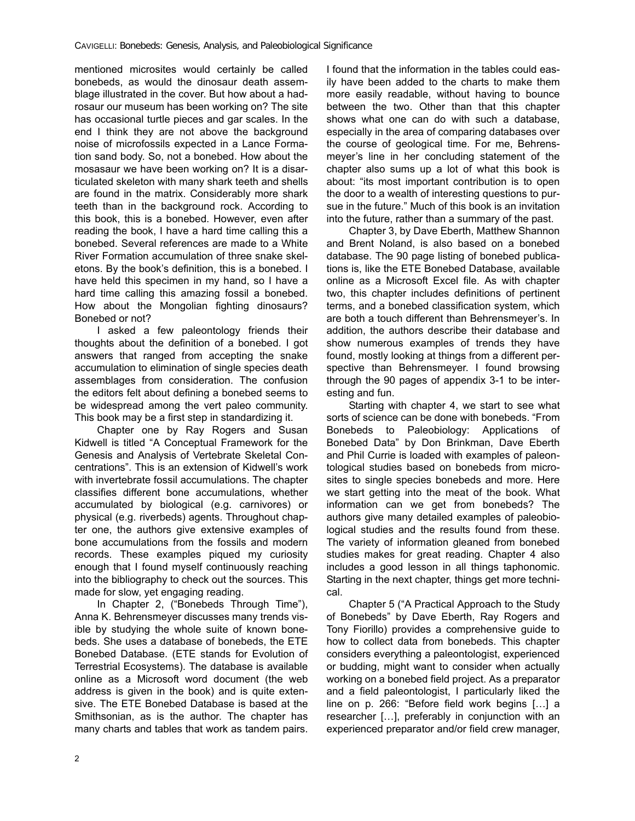mentioned microsites would certainly be called bonebeds, as would the dinosaur death assemblage illustrated in the cover. But how about a hadrosaur our museum has been working on? The site has occasional turtle pieces and gar scales. In the end I think they are not above the background noise of microfossils expected in a Lance Formation sand body. So, not a bonebed. How about the mosasaur we have been working on? It is a disarticulated skeleton with many shark teeth and shells are found in the matrix. Considerably more shark teeth than in the background rock. According to this book, this is a bonebed. However, even after reading the book, I have a hard time calling this a bonebed. Several references are made to a White River Formation accumulation of three snake skeletons. By the book's definition, this is a bonebed. I have held this specimen in my hand, so I have a hard time calling this amazing fossil a bonebed. How about the Mongolian fighting dinosaurs? Bonebed or not?

I asked a few paleontology friends their thoughts about the definition of a bonebed. I got answers that ranged from accepting the snake accumulation to elimination of single species death assemblages from consideration. The confusion the editors felt about defining a bonebed seems to be widespread among the vert paleo community. This book may be a first step in standardizing it.

Chapter one by Ray Rogers and Susan Kidwell is titled "A Conceptual Framework for the Genesis and Analysis of Vertebrate Skeletal Concentrations". This is an extension of Kidwell's work with invertebrate fossil accumulations. The chapter classifies different bone accumulations, whether accumulated by biological (e.g. carnivores) or physical (e.g. riverbeds) agents. Throughout chapter one, the authors give extensive examples of bone accumulations from the fossils and modern records. These examples piqued my curiosity enough that I found myself continuously reaching into the bibliography to check out the sources. This made for slow, yet engaging reading.

In Chapter 2, ("Bonebeds Through Time"), Anna K. Behrensmeyer discusses many trends visible by studying the whole suite of known bonebeds. She uses a database of bonebeds, the ETE Bonebed Database. (ETE stands for Evolution of Terrestrial Ecosystems). The database is available online as a Microsoft word document (the web address is given in the book) and is quite extensive. The ETE Bonebed Database is based at the Smithsonian, as is the author. The chapter has many charts and tables that work as tandem pairs.

I found that the information in the tables could easily have been added to the charts to make them more easily readable, without having to bounce between the two. Other than that this chapter shows what one can do with such a database, especially in the area of comparing databases over the course of geological time. For me, Behrensmeyer's line in her concluding statement of the chapter also sums up a lot of what this book is about: "its most important contribution is to open the door to a wealth of interesting questions to pursue in the future." Much of this book is an invitation into the future, rather than a summary of the past.

Chapter 3, by Dave Eberth, Matthew Shannon and Brent Noland, is also based on a bonebed database. The 90 page listing of bonebed publications is, like the ETE Bonebed Database, available online as a Microsoft Excel file. As with chapter two, this chapter includes definitions of pertinent terms, and a bonebed classification system, which are both a touch different than Behrensmeyer's. In addition, the authors describe their database and show numerous examples of trends they have found, mostly looking at things from a different perspective than Behrensmeyer. I found browsing through the 90 pages of appendix 3-1 to be interesting and fun.

Starting with chapter 4, we start to see what sorts of science can be done with bonebeds. "From Bonebeds to Paleobiology: Applications of Bonebed Data" by Don Brinkman, Dave Eberth and Phil Currie is loaded with examples of paleontological studies based on bonebeds from microsites to single species bonebeds and more. Here we start getting into the meat of the book. What information can we get from bonebeds? The authors give many detailed examples of paleobiological studies and the results found from these. The variety of information gleaned from bonebed studies makes for great reading. Chapter 4 also includes a good lesson in all things taphonomic. Starting in the next chapter, things get more technical.

Chapter 5 ("A Practical Approach to the Study of Bonebeds" by Dave Eberth, Ray Rogers and Tony Fiorillo) provides a comprehensive guide to how to collect data from bonebeds. This chapter considers everything a paleontologist, experienced or budding, might want to consider when actually working on a bonebed field project. As a preparator and a field paleontologist, I particularly liked the line on p. 266: "Before field work begins […] a researcher […], preferably in conjunction with an experienced preparator and/or field crew manager,